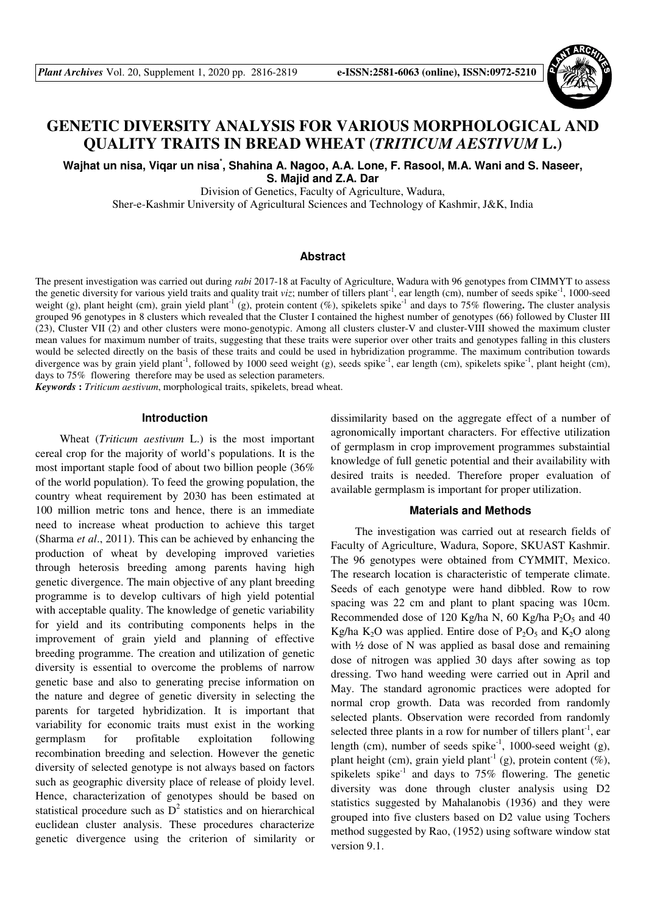

# **GENETIC DIVERSITY ANALYSIS FOR VARIOUS MORPHOLOGICAL AND QUALITY TRAITS IN BREAD WHEAT (***TRITICUM AESTIVUM* **L.)**

**Wajhat un nisa, Viqar un nisa\* , Shahina A. Nagoo, A.A. Lone, F. Rasool, M.A. Wani and S. Naseer, S. Majid and Z.A. Dar** 

Division of Genetics, Faculty of Agriculture, Wadura,

Sher-e-Kashmir University of Agricultural Sciences and Technology of Kashmir, J&K, India

# **Abstract**

The present investigation was carried out during *rabi* 2017-18 at Faculty of Agriculture, Wadura with 96 genotypes from CIMMYT to assess the genetic diversity for various yield traits and quality trait *viz*; number of tillers plant<sup>-1</sup>, ear length (cm), number of seeds spike<sup>-1</sup>, 1000-seed weight (g), plant height (cm), grain yield plant<sup>-1</sup> (g), protein content (%), spikelets spike<sup>-1</sup> and days to 75% flowering. The cluster analysis grouped 96 genotypes in 8 clusters which revealed that the Cluster I contained the highest number of genotypes (66) followed by Cluster III (23), Cluster VII (2) and other clusters were mono-genotypic. Among all clusters cluster-V and cluster-VIII showed the maximum cluster mean values for maximum number of traits, suggesting that these traits were superior over other traits and genotypes falling in this clusters would be selected directly on the basis of these traits and could be used in hybridization programme. The maximum contribution towards divergence was by grain yield plant<sup>-1</sup>, followed by 1000 seed weight (g), seeds spike<sup>-1</sup>, ear length (cm), spikelets spike<sup>-1</sup>, plant height (cm), days to 75% flowering therefore may be used as selection parameters.

*Keywords* **:** *Triticum aestivum*, morphological traits, spikelets, bread wheat.

## **Introduction**

Wheat (*Triticum aestivum* L.) is the most important cereal crop for the majority of world's populations. It is the most important staple food of about two billion people (36% of the world population). To feed the growing population, the country wheat requirement by 2030 has been estimated at 100 million metric tons and hence, there is an immediate need to increase wheat production to achieve this target (Sharma *et al*., 2011). This can be achieved by enhancing the production of wheat by developing improved varieties through heterosis breeding among parents having high genetic divergence. The main objective of any plant breeding programme is to develop cultivars of high yield potential with acceptable quality. The knowledge of genetic variability for yield and its contributing components helps in the improvement of grain yield and planning of effective breeding programme. The creation and utilization of genetic diversity is essential to overcome the problems of narrow genetic base and also to generating precise information on the nature and degree of genetic diversity in selecting the parents for targeted hybridization. It is important that variability for economic traits must exist in the working germplasm for profitable exploitation following recombination breeding and selection. However the genetic diversity of selected genotype is not always based on factors such as geographic diversity place of release of ploidy level. Hence, characterization of genotypes should be based on statistical procedure such as  $D^2$  statistics and on hierarchical euclidean cluster analysis. These procedures characterize genetic divergence using the criterion of similarity or

dissimilarity based on the aggregate effect of a number of agronomically important characters. For effective utilization of germplasm in crop improvement programmes substaintial knowledge of full genetic potential and their availability with desired traits is needed. Therefore proper evaluation of available germplasm is important for proper utilization.

### **Materials and Methods**

The investigation was carried out at research fields of Faculty of Agriculture, Wadura, Sopore, SKUAST Kashmir. The 96 genotypes were obtained from CYMMIT, Mexico. The research location is characteristic of temperate climate. Seeds of each genotype were hand dibbled. Row to row spacing was 22 cm and plant to plant spacing was 10cm. Recommended dose of 120 Kg/ha N, 60 Kg/ha  $P_2O_5$  and 40 Kg/ha K<sub>2</sub>O was applied. Entire dose of  $P_2O_5$  and K<sub>2</sub>O along with ½ dose of N was applied as basal dose and remaining dose of nitrogen was applied 30 days after sowing as top dressing. Two hand weeding were carried out in April and May. The standard agronomic practices were adopted for normal crop growth. Data was recorded from randomly selected plants. Observation were recorded from randomly selected three plants in a row for number of tillers plant<sup>-1</sup>, ear length (cm), number of seeds spike<sup>-1</sup>, 1000-seed weight (g), plant height (cm), grain yield plant<sup>-1</sup> (g), protein content (%), spikelets spike<sup>-1</sup> and days to 75% flowering. The genetic diversity was done through cluster analysis using D2 statistics suggested by Mahalanobis (1936) and they were grouped into five clusters based on D2 value using Tochers method suggested by Rao, (1952) using software window stat version 9.1.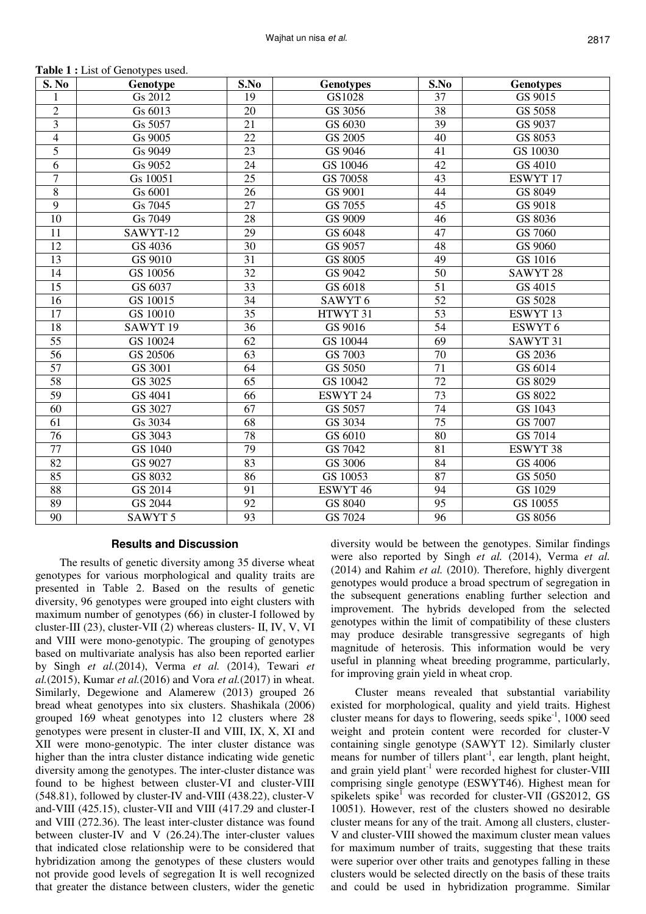| S. No           | Genotype            | S.No            | <b>Genotypes</b>     | S.No            | <b>Genotypes</b>    |
|-----------------|---------------------|-----------------|----------------------|-----------------|---------------------|
|                 | Gs 2012             | 19              | GS1028               | 37              | GS 9015             |
| $\overline{c}$  | Gs 6013             | 20              | GS 3056              | 38              | GS 5058             |
| 3               | Gs 5057             | 21              | GS 6030              | 39              | GS 9037             |
| $\overline{4}$  | Gs 9005             | 22              | GS 2005              | 40              | GS 8053             |
| $\overline{5}$  | Gs 9049             | 23              | GS 9046              | 41              | GS 10030            |
| 6               | Gs 9052             | 24              | GS 10046             | 42              | GS 4010             |
| $\overline{7}$  | Gs 10051            | $\overline{25}$ | GS 70058             | 43              | <b>ESWYT17</b>      |
| $\overline{8}$  | Gs 6001             | 26              | GS 9001              | 44              | GS 8049             |
| 9               | Gs 7045             | 27              | GS 7055              | 45              | GS 9018             |
| 10              | Gs 7049             | 28              | GS 9009              | 46              | GS 8036             |
| 11              | SAWYT-12            | 29              | $\overline{GS}$ 6048 | 47              | GS 7060             |
| 12              | GS 4036             | 30              | GS 9057              | 48              | GS 9060             |
| 13              | GS 9010             | 31              | GS 8005              | 49              | GS 1016             |
| 14              | GS 10056            | $\overline{32}$ | GS 9042              | 50              | SAWYT <sub>28</sub> |
| 15              | GS 6037             | 33              | GS 6018              | 51              | GS 4015             |
| 16              | GS 10015            | 34              | SAWYT <sub>6</sub>   | 52              | GS 5028             |
| 17              | GS 10010            | 35              | HTWYT 31             | 53              | ESWYT 13            |
| 18              | SAWYT <sub>19</sub> | 36              | GS 9016              | 54              | ESWYT 6             |
| 55              | GS 10024            | 62              | GS 10044             | 69              | SAWYT 31            |
| 56              | GS 20506            | 63              | GS 7003              | 70              | GS 2036             |
| $\overline{57}$ | GS 3001             | 64              | GS 5050              | $\overline{71}$ | GS 6014             |
| $\overline{58}$ | GS 3025             | $\overline{65}$ | GS 10042             | $\overline{72}$ | GS 8029             |
| 59              | GS 4041             | 66              | ESWYT 24             | 73              | GS 8022             |
| 60              | GS 3027             | 67              | GS 5057              | 74              | GS 1043             |
| 61              | Gs 3034             | $\overline{68}$ | GS 3034              | $\overline{75}$ | GS 7007             |
| 76              | GS 3043             | 78              | GS 6010              | 80              | GS 7014             |
| 77              | GS 1040             | 79              | GS 7042              | 81              | <b>ESWYT 38</b>     |
| $\overline{82}$ | GS 9027             | $\overline{83}$ | GS 3006              | 84              | GS 4006             |
| 85              | GS 8032             | 86              | GS 10053             | 87              | GS 5050             |
| 88              | GS 2014             | 91              | ESWYT <sub>46</sub>  | 94              | GS 1029             |
| 89              | GS 2044             | 92              | GS 8040              | 95              | GS 10055            |
| $\overline{90}$ | SAWYT <sub>5</sub>  | 93              | GS 7024              | $\overline{96}$ | GS 8056             |

**Table 1 :** List of Genotypes used.

# **Results and Discussion**

The results of genetic diversity among 35 diverse wheat genotypes for various morphological and quality traits are presented in Table 2. Based on the results of genetic diversity, 96 genotypes were grouped into eight clusters with maximum number of genotypes (66) in cluster-I followed by cluster-III (23), cluster-VII (2) whereas clusters- II, IV, V, VI and VIII were mono-genotypic. The grouping of genotypes based on multivariate analysis has also been reported earlier by Singh *et al.*(2014), Verma *et al.* (2014), Tewari *et al.*(2015), Kumar *et al.*(2016) and Vora *et al.*(2017) in wheat. Similarly, Degewione and Alamerew (2013) grouped 26 bread wheat genotypes into six clusters. Shashikala (2006) grouped 169 wheat genotypes into 12 clusters where 28 genotypes were present in cluster-II and VIII, IX, X, XI and XII were mono-genotypic. The inter cluster distance was higher than the intra cluster distance indicating wide genetic diversity among the genotypes. The inter-cluster distance was found to be highest between cluster-VI and cluster-VIII (548.81), followed by cluster-IV and-VIII (438.22), cluster-V and-VIII (425.15), cluster-VII and VIII (417.29 and cluster-I and VIII (272.36). The least inter-cluster distance was found between cluster-IV and V (26.24).The inter-cluster values that indicated close relationship were to be considered that hybridization among the genotypes of these clusters would not provide good levels of segregation It is well recognized that greater the distance between clusters, wider the genetic

diversity would be between the genotypes. Similar findings were also reported by Singh *et al.* (2014), Verma *et al.*  (2014) and Rahim *et al.* (2010). Therefore, highly divergent genotypes would produce a broad spectrum of segregation in the subsequent generations enabling further selection and improvement. The hybrids developed from the selected genotypes within the limit of compatibility of these clusters may produce desirable transgressive segregants of high magnitude of heterosis. This information would be very useful in planning wheat breeding programme, particularly, for improving grain yield in wheat crop.

Cluster means revealed that substantial variability existed for morphological, quality and yield traits. Highest cluster means for days to flowering, seeds spike<sup>-1</sup>, 1000 seed weight and protein content were recorded for cluster-V containing single genotype (SAWYT 12). Similarly cluster means for number of tillers plant<sup>-1</sup>, ear length, plant height, and grain yield plant<sup>-1</sup> were recorded highest for cluster-VIII comprising single genotype (ESWYT46). Highest mean for spikelets spike<sup>I</sup> was recorded for cluster-VII (GS2012, GS 10051). However, rest of the clusters showed no desirable cluster means for any of the trait. Among all clusters, cluster-V and cluster-VIII showed the maximum cluster mean values for maximum number of traits, suggesting that these traits were superior over other traits and genotypes falling in these clusters would be selected directly on the basis of these traits and could be used in hybridization programme. Similar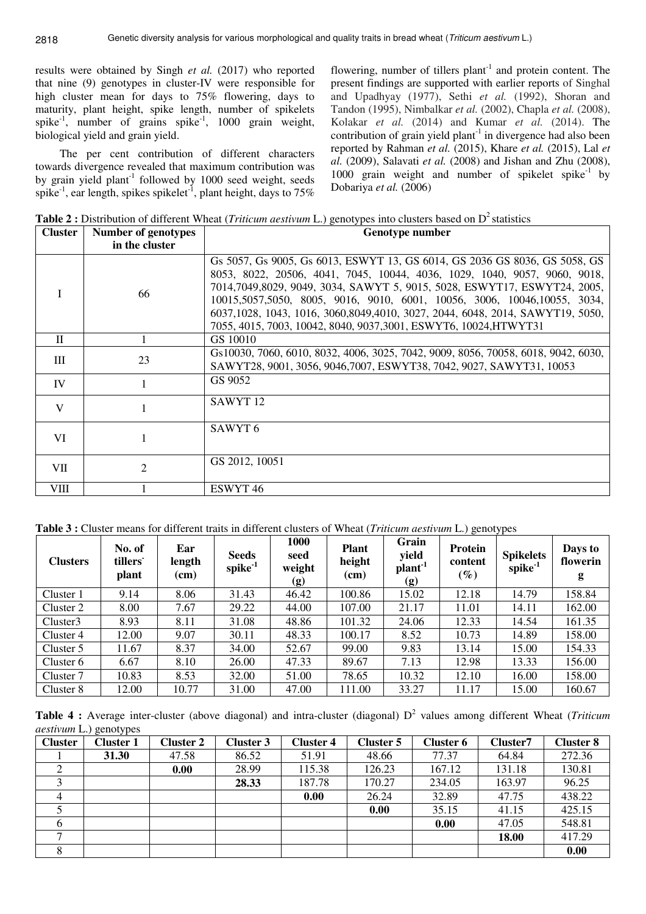results were obtained by Singh *et al.* (2017) who reported that nine (9) genotypes in cluster-IV were responsible for high cluster mean for days to 75% flowering, days to maturity, plant height, spike length, number of spikelets spike<sup>-1</sup>, number of grains spike<sup>-1</sup>, 1000 grain weight, biological yield and grain yield.

The per cent contribution of different characters towards divergence revealed that maximum contribution was by grain yield plant<sup>-1</sup> followed by 1000 seed weight, seeds spike<sup>-1</sup>, ear length, spikes spikelet<sup>-1</sup>, plant height, days to 75%

flowering, number of tillers plant<sup>-1</sup> and protein content. The present findings are supported with earlier reports of Singhal and Upadhyay (1977), Sethi *et al.* (1992), Shoran and Tandon (1995), Nimbalkar *et al.* (2002), Chapla *et al.* (2008), Kolakar *et al.* (2014) and Kumar *et al.* (2014). The contribution of grain yield plant $^{-1}$  in divergence had also been reported by Rahman *et al.* (2015), Khare *et al.* (2015), Lal *et al.* (2009), Salavati *et al.* (2008) and Jishan and Zhu (2008), 1000 grain weight and number of spikelet spike<sup>-1</sup> by Dobariya *et al.* (2006)

**Table 2 :** Distribution of different Wheat (*Triticum aestivum* L.) genotypes into clusters based on D<sup>2</sup> statistics **Cluster Number of genotypes Genotype number** 

| URRICI       | NUMBER OF SERVICES<br>in the cluster | <b>Gellotype number</b>                                                                                                                                                                                                                                                                                                                                                                                                                                               |
|--------------|--------------------------------------|-----------------------------------------------------------------------------------------------------------------------------------------------------------------------------------------------------------------------------------------------------------------------------------------------------------------------------------------------------------------------------------------------------------------------------------------------------------------------|
|              | 66                                   | Gs 5057, Gs 9005, Gs 6013, ESWYT 13, GS 6014, GS 2036 GS 8036, GS 5058, GS<br>8053, 8022, 20506, 4041, 7045, 10044, 4036, 1029, 1040, 9057, 9060, 9018,<br>7014,7049,8029, 9049, 3034, SAWYT 5, 9015, 5028, ESWYT17, ESWYT24, 2005,<br>10015,5057,5050, 8005, 9016, 9010, 6001, 10056, 3006, 10046,10055, 3034,<br>6037,1028, 1043, 1016, 3060,8049,4010, 3027, 2044, 6048, 2014, SAWYT19, 5050,<br>7055, 4015, 7003, 10042, 8040, 9037, 3001, ESWYT6, 10024, HTWYT31 |
| $\mathbf{H}$ |                                      | GS 10010                                                                                                                                                                                                                                                                                                                                                                                                                                                              |
| Ш            | 23                                   | Gs10030, 7060, 6010, 8032, 4006, 3025, 7042, 9009, 8056, 70058, 6018, 9042, 6030,<br>SAWYT28, 9001, 3056, 9046, 7007, ESWYT38, 7042, 9027, SAWYT31, 10053                                                                                                                                                                                                                                                                                                             |
| IV           |                                      | GS 9052                                                                                                                                                                                                                                                                                                                                                                                                                                                               |
| V            |                                      | SAWYT <sub>12</sub>                                                                                                                                                                                                                                                                                                                                                                                                                                                   |
| VI           |                                      | SAWYT <sub>6</sub>                                                                                                                                                                                                                                                                                                                                                                                                                                                    |
| VII          | 2                                    | GS 2012, 10051                                                                                                                                                                                                                                                                                                                                                                                                                                                        |
| VIII         |                                      | ESWYT <sub>46</sub>                                                                                                                                                                                                                                                                                                                                                                                                                                                   |

|  |  |  | Table 3 : Cluster means for different traits in different clusters of Wheat (Triticum aestivum L.) genotypes |  |
|--|--|--|--------------------------------------------------------------------------------------------------------------|--|
|  |  |  |                                                                                                              |  |

| <b>Clusters</b> | No. of<br>tillers<br>plant | Ear<br>length<br>(cm) | <b>Seeds</b><br>spike <sup>-1</sup> | 1000<br>seed<br>weight<br>(g) | <b>Plant</b><br>height<br>(cm) | Grain<br>yield<br>plant <sup>-1</sup><br>(g) | Protein<br>content<br>$(\%)$ | <b>Spikelets</b><br>$spike^{-1}$ | Days to<br>flowerin<br>g |
|-----------------|----------------------------|-----------------------|-------------------------------------|-------------------------------|--------------------------------|----------------------------------------------|------------------------------|----------------------------------|--------------------------|
| Cluster 1       | 9.14                       | 8.06                  | 31.43                               | 46.42                         | 100.86                         | 15.02                                        | 12.18                        | 14.79                            | 158.84                   |
| Cluster 2       | 8.00                       | 7.67                  | 29.22                               | 44.00                         | 107.00                         | 21.17                                        | 11.01                        | 14.11                            | 162.00                   |
| Cluster3        | 8.93                       | 8.11                  | 31.08                               | 48.86                         | 101.32                         | 24.06                                        | 12.33                        | 14.54                            | 161.35                   |
| Cluster 4       | 12.00                      | 9.07                  | 30.11                               | 48.33                         | 100.17                         | 8.52                                         | 10.73                        | 14.89                            | 158.00                   |
| Cluster 5       | 11.67                      | 8.37                  | 34.00                               | 52.67                         | 99.00                          | 9.83                                         | 13.14                        | 15.00                            | 154.33                   |
| Cluster 6       | 6.67                       | 8.10                  | 26.00                               | 47.33                         | 89.67                          | 7.13                                         | 12.98                        | 13.33                            | 156.00                   |
| Cluster 7       | 10.83                      | 8.53                  | 32.00                               | 51.00                         | 78.65                          | 10.32                                        | 12.10                        | 16.00                            | 158.00                   |
| Cluster 8       | 12.00                      | 10.77                 | 31.00                               | 47.00                         | 111.00                         | 33.27                                        | 11.17                        | 15.00                            | 160.67                   |

Table 4: Average inter-cluster (above diagonal) and intra-cluster (diagonal) D<sup>2</sup> values among different Wheat (*Triticum aestivum* L.) genotypes

| <b>Cluster</b> | <b>Cluster 1</b> | Cluster 2 | Cluster 3 | <b>Cluster 4</b> | Cluster 5 | <b>Cluster 6</b> | Cluster7 | <b>Cluster 8</b> |
|----------------|------------------|-----------|-----------|------------------|-----------|------------------|----------|------------------|
|                | 31.30            | 47.58     | 86.52     | 51.91            | 48.66     | 77.37            | 64.84    | 272.36           |
| ◠              |                  | 0.00      | 28.99     | 115.38           | 126.23    | 167.12           | 131.18   | 130.81           |
|                |                  |           | 28.33     | 187.78           | 170.27    | 234.05           | 163.97   | 96.25            |
|                |                  |           |           | 0.00             | 26.24     | 32.89            | 47.75    | 438.22           |
|                |                  |           |           |                  | 0.00      | 35.15            | 41.15    | 425.15           |
| 6              |                  |           |           |                  |           | 0.00             | 47.05    | 548.81           |
|                |                  |           |           |                  |           |                  | 18.00    | 417.29           |
|                |                  |           |           |                  |           |                  |          | 0.00             |